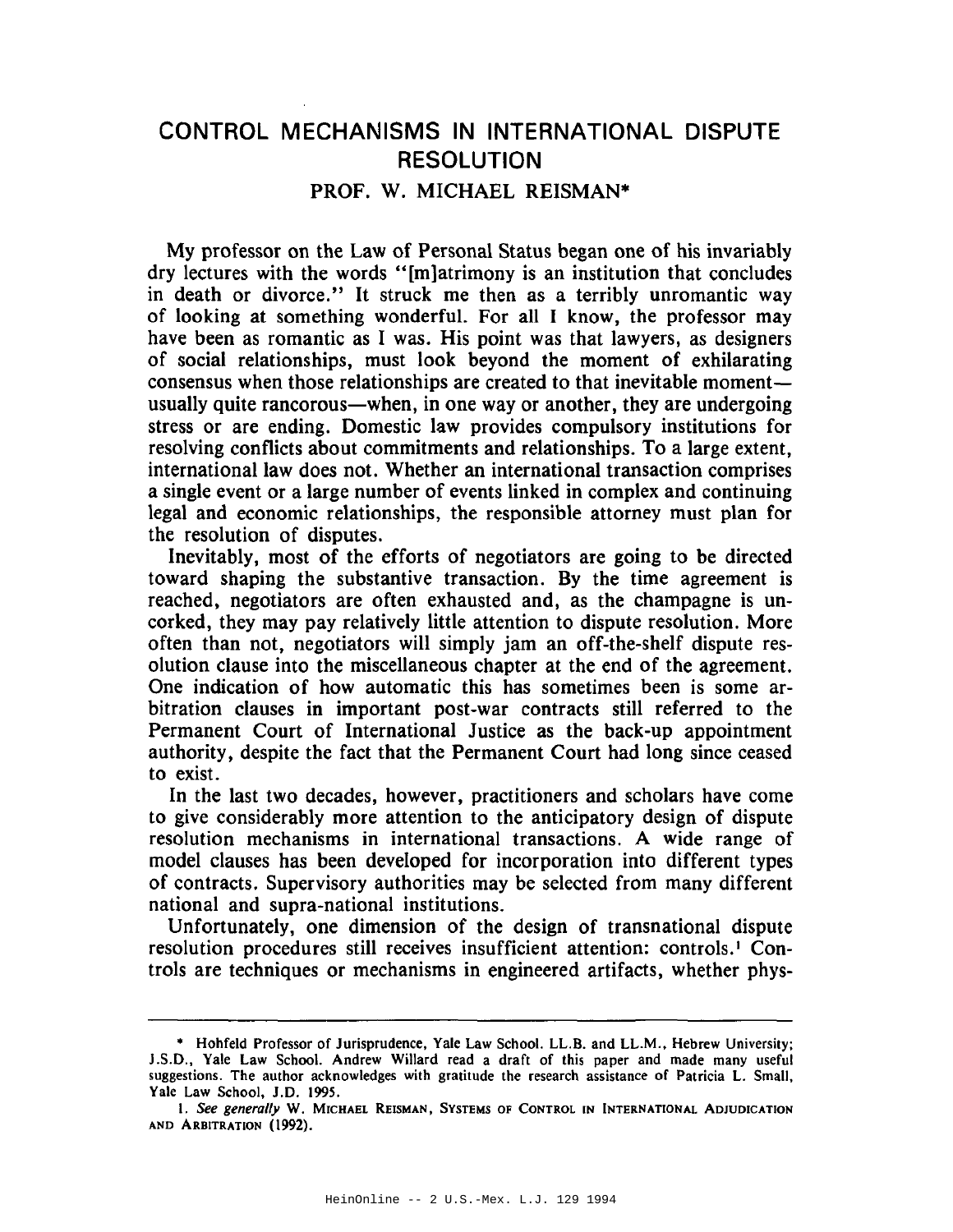## **CONTROL MECHANISMS IN INTERNATIONAL DISPUTE RESOLUTION** PROF. W. MICHAEL REISMAN\*

My professor on the Law of Personal Status began one of his invariably dry lectures with the words "[m]atrimony is an institution that concludes in death or divorce." It struck me then as a terribly unromantic way of looking at something wonderful. For all I know, the professor may have been as romantic as I was. His point was that lawyers, as designers of social relationships, must look beyond the moment of exhilarating consensus when those relationships are created to that inevitable momentusually quite rancorous—when, in one way or another, they are undergoing stress or are ending. Domestic law provides compulsory institutions for resolving conflicts about commitments and relationships. To a large extent, international law does not. Whether an international transaction comprises a single event or a large number of events linked in complex and continuing legal and economic relationships, the responsible attorney must plan for the resolution of disputes.

Inevitably, most of the efforts of negotiators are going to be directed toward shaping the substantive transaction. By the time agreement is reached, negotiators are often exhausted and, as the champagne is uncorked, they may pay relatively little attention to dispute resolution. More often than not, negotiators will simply jam an off-the-shelf dispute resolution clause into the miscellaneous chapter at the end of the agreement. One indication of how automatic this has sometimes been is some arbitration clauses in important post-war contracts still referred to the Permanent Court of International Justice as the back-up appointment authority, despite the fact that the Permanent Court had long since ceased to exist.

In the last two decades, however, practitioners and scholars have come to give considerably more attention to the anticipatory design of dispute resolution mechanisms in international transactions. A wide range of model clauses has been developed for incorporation into different types of contracts. Supervisory authorities may be selected from many different national and supra-national institutions.

Unfortunately, one dimension of the design of transnational dispute resolution procedures still receives insufficient attention: controls.<sup>1</sup> Controls are techniques or mechanisms in engineered artifacts, whether phys-

<sup>•</sup> Hohfeld Professor of Jurisprudence, Yale Law School. LL.B. and LL.M., Hebrew University; J.S.D., Yale Law School. Andrew Willard read a draft of this paper and made many useful suggestions. The author acknowledges with gratitude the research assistance of Patricia L. Small, Yale Law School, J.D. 1995.

I. See generally W. MICHAEL REISMAN, SYSTEMS OF CONTROL IN INTERNATIONAL ADIUDICATION AND ARBITRATION (1992).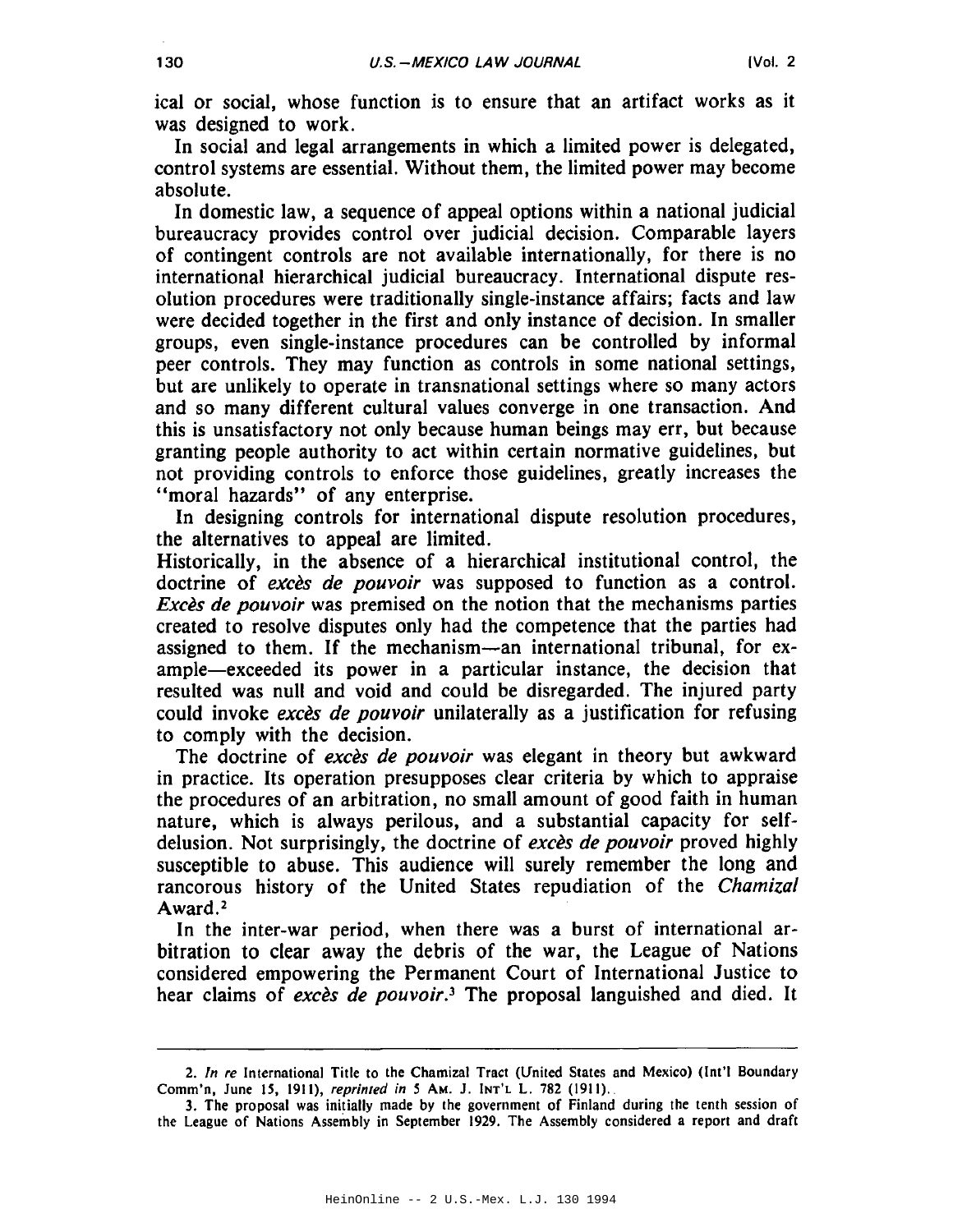ical or social, whose function is to ensure that an artifact works as it was designed to work.

In social and legal arrangements in which a limited power is delegated, control systems are essential. Without them, the limited power may become absolute.

In domestic law, a sequence of appeal options within a national judicial bureaucracy provides control over judicial decision. Comparable layers of contingent controls are not available internationally, for there is no international hierarchical judicial bureaucracy. International dispute resolution procedures were traditionally single-instance affairs; facts and law were decided together in the first and only instance of decision. In smaller groups, even single-instance procedures can be controlled by informal peer controls. They may function as controls in some national settings, but are unlikely to operate in transnational settings where so many actors and so many different cultural values converge in one transaction. And this is unsatisfactory not only because human beings may err, but because granting people authority to act within certain normative guidelines, but not providing controls to enforce those guidelines, greatly increases the "moral hazards" of any enterprise.

In designing controls for international dispute resolution procedures, the alternatives to appeal are limited.

Historically, in the absence of a hierarchical institutional control, the doctrine of excès de pouvoir was supposed to function as a control. *Excès de pouvoir* was premised on the notion that the mechanisms parties created to resolve disputes only had the competence that the parties had assigned to them. If the mechanism—an international tribunal, for example—exceeded its power in a particular instance, the decision that resulted was null and void and could be disregarded. The injured party could invoke exces de pouvoir unilaterally as a justification for refusing to comply with the decision.

The doctrine of exces de pouvoir was elegant in theory but awkward in practice. Its operation presupposes clear criteria by which to appraise the procedures of an arbitration, no small amount of good faith in human nature, which is always perilous, and a substantial capacity for selfdelusion. Not surprisingly, the doctrine of *exces de pouvoir* proved highly susceptible to abuse. This audience will surely remember the long and rancorous history of the United States repudiation of the Chamizal Award.<sup>2</sup>

In the inter-war period, when there was a burst of international arbitration to clear away the debris of the war, the League of Nations considered empowering the Permanent Court of International Justice to hear claims of excès de pouvoir.<sup>3</sup> The proposal languished and died. It

<sup>2.</sup> In re International Title to the Chamizal Tract (United States and Mexico) (Int'l Boundary Comm'n, June 15, 1911), reprinted in 5 AM. J. INT'L L. 782 (1911).

<sup>3.</sup> The proposal was initially made by the government of Finland during the tenth session of the League of Nations Assembly in September 1929. The Assembly considered a report and draft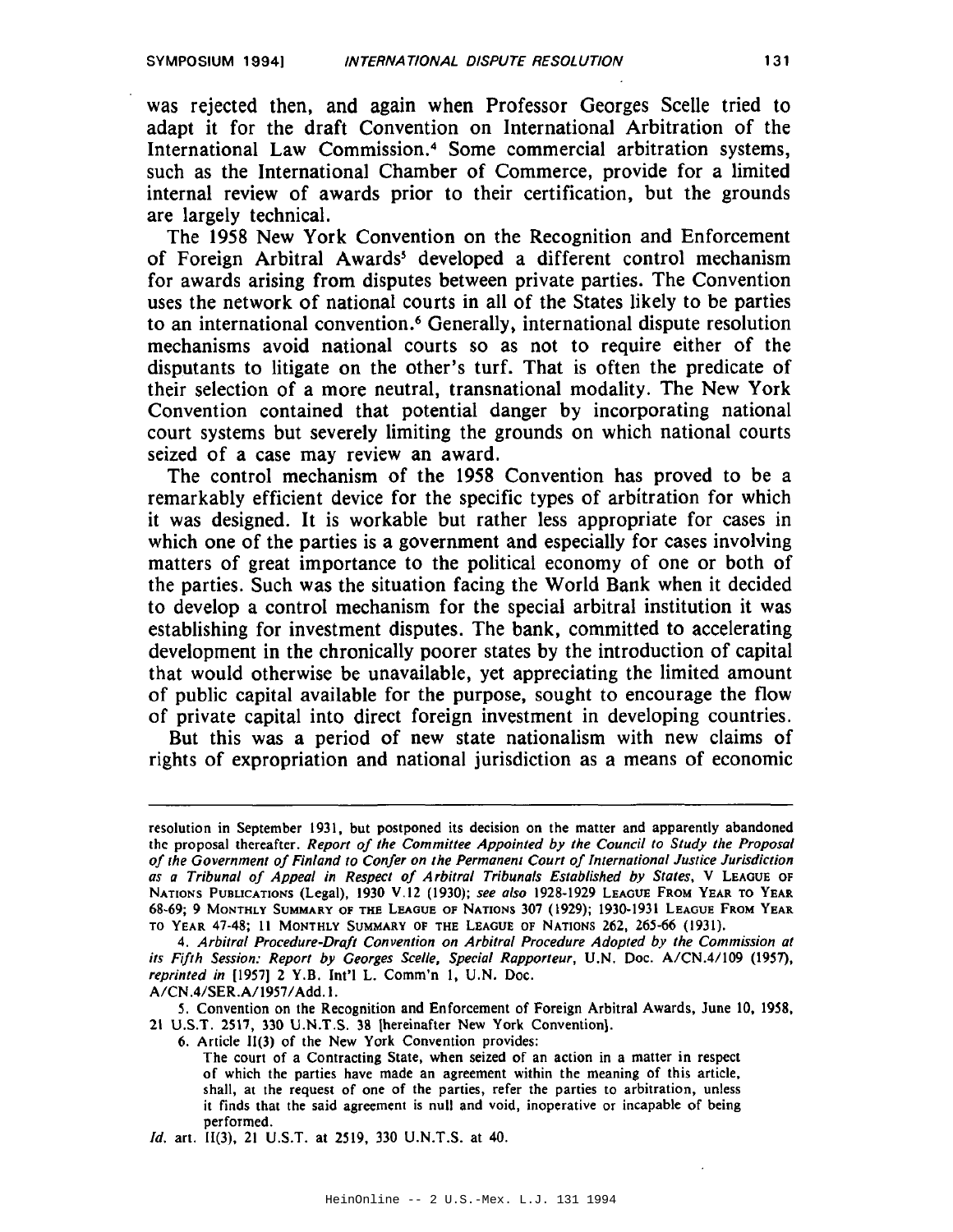was rejected then, and again when Professor Georges Scelle tried to adapt it for the draft Convention on International Arbitration of the International Law Commission.<sup>4</sup> Some commercial arbitration systems. such as the International Chamber of Commerce, provide for a limited internal review of awards prior to their certification, but the grounds are largely technical.

The 1958 New York Convention on the Recognition and Enforcement of Foreign Arbitral Awards<sup>5</sup> developed a different control mechanism for awards arising from disputes between private parties. The Convention uses the network of national courts in all of the States likely to be parties to an international convention.<sup>6</sup> Generally, international dispute resolution mechanisms avoid national courts so as not to require either of the disputants to litigate on the other's turf. That is often the predicate of their selection of a more neutral, transnational modality. The New York Convention contained that potential danger by incorporating national court systems but severely limiting the grounds on which national courts seized of a case may review an award.

The control mechanism of the 1958 Convention has proved to be a remarkably efficient device for the specific types of arbitration for which it was designed. It is workable but rather less appropriate for cases in which one of the parties is a government and especially for cases involving matters of great importance to the political economy of one or both of the parties. Such was the situation facing the World Bank when it decided to develop a control mechanism for the special arbitral institution it was establishing for investment disputes. The bank, committed to accelerating development in the chronically poorer states by the introduction of capital that would otherwise be unavailable, yet appreciating the limited amount of public capital available for the purpose, sought to encourage the flow of private capital into direct foreign investment in developing countries.

But this was a period of new state nationalism with new claims of rights of expropriation and national jurisdiction as a means of economic

A/CN.4/SER.A/1957/Add.1.

5. Convention on the Recognition and Enforcement of Foreign Arbitral Awards, June 10, 1958, 21 U.S.T. 2517, 330 U.N.T.S. 38 [hereinafter New York Convention].

6. Article II(3) of the New York Convention provides:

Id. art. II(3), 21 U.S.T. at 2519, 330 U.N.T.S. at 40.

resolution in September 1931, but postponed its decision on the matter and apparently abandoned the proposal thereafter. Report of the Committee Appointed by the Council to Study the Proposal of the Government of Finland to Confer on the Permanent Court of International Justice Jurisdiction as a Tribunal of Appeal in Respect of Arbitral Tribunals Established by States, V LEAGUE OF NATIONS PUBLICATIONS (Legal), 1930 V.12 (1930); see also 1928-1929 LEAGUE FROM YEAR TO YEAR 68-69; 9 MONTHLY SUMMARY OF THE LEAGUE OF NATIONS 307 (1929); 1930-1931 LEAGUE FROM YEAR TO YEAR 47-48; 11 MONTHLY SUMMARY OF THE LEAGUE OF NATIONS 262, 265-66 (1931).

<sup>4.</sup> Arbitral Procedure-Draft Convention on Arbitral Procedure Adopted by the Commission at its Fifth Session: Report by Georges Scelle, Special Rapporteur, U.N. Doc. A/CN.4/109 (1957), reprinted in [1957] 2 Y.B. Int'l L. Comm'n 1, U.N. Doc.

The court of a Contracting State, when seized of an action in a matter in respect of which the parties have made an agreement within the meaning of this article, shall, at the request of one of the parties, refer the parties to arbitration, unless it finds that the said agreement is null and void, inoperative or incapable of being performed.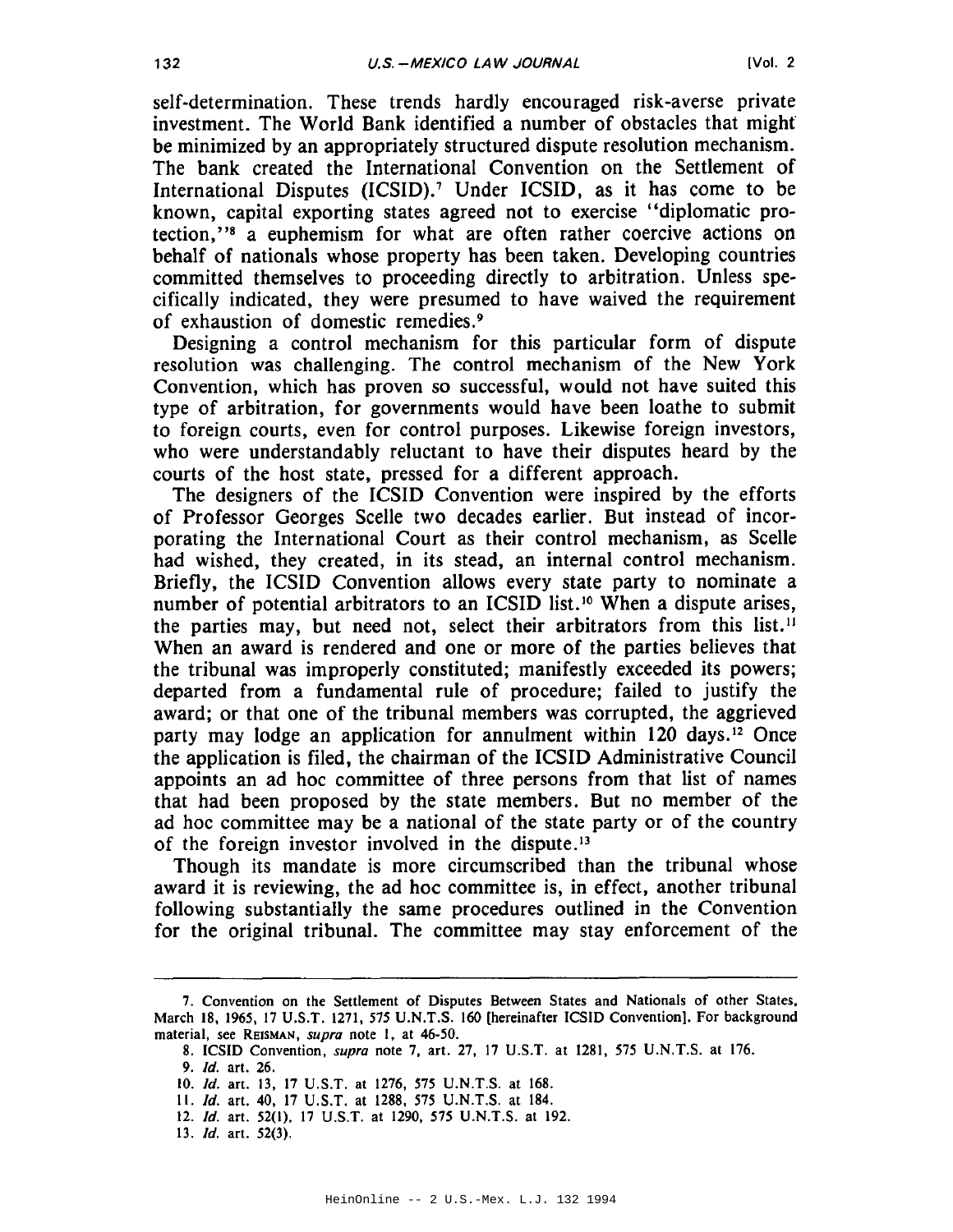self-determination. These trends hardly encouraged risk-averse private investment. The World Bank identified a number of obstacles that might be minimized by an appropriately structured dispute resolution mechanism. The bank created the International Convention on the Settlement of International Disputes (ICSID).<sup>7</sup> Under ICSID, as it has come to be known, capital exporting states agreed not to exercise "diplomatic protection,"<sup>8</sup> a euphemism for what are often rather coercive actions on behalf of nationals whose property has been taken. Developing countries committed themselves to proceeding directly to arbitration. Unless specifically indicated, they were presumed to have waived the requirement of exhaustion of domestic remedies.<sup>9</sup>

Designing a control mechanism for this particular form of dispute resolution was challenging. The control mechanism of the New York Convention, which has proven so successful, would not have suited this type of arbitration, for governments would have been loathe to submit to foreign courts, even for control purposes. Likewise foreign investors, who were understandably reluctant to have their disputes heard by the courts of the host state, pressed for a different approach.

The designers of the ICSID Convention were inspired by the efforts of Professor Georges Scelle two decades earlier. But instead of incorporating the International Court as their control mechanism, as Scelle had wished, they created, in its stead, an internal control mechanism. Briefly, the ICSID Convention allows every state party to nominate a number of potential arbitrators to an ICSID list.<sup>10</sup> When a dispute arises, the parties may, but need not, select their arbitrators from this list.<sup>11</sup> When an award is rendered and one or more of the parties believes that the tribunal was improperly constituted; manifestly exceeded its powers; departed from a fundamental rule of procedure; failed to justify the award; or that one of the tribunal members was corrupted, the aggrieved party may lodge an application for annulment within 120 days.<sup>12</sup> Once the application is filed, the chairman of the ICSID Administrative Council appoints an ad hoc committee of three persons from that list of names that had been proposed by the state members. But no member of the ad hoc committee may be a national of the state party or of the country of the foreign investor involved in the dispute.<sup>13</sup>

Though its mandate is more circumscribed than the tribunal whose award it is reviewing, the ad hoc committee is, in effect, another tribunal following substantially the same procedures outlined in the Convention for the original tribunal. The committee may stay enforcement of the

132

<sup>7.</sup> Convention on the Settlement of Disputes Between States and Nationals of other States, March 18, 1965, 17 U.S.T. 1271, 575 U.N.T.S. 160 [hereinafter ICSID Convention]. For background material, see REISMAN, supra note 1, at 46-50.

<sup>8.</sup> ICSID Convention, *supra* note 7, art. 27, 17 U.S.T. at 1281, 575 U.N.T.S. at 176.

<sup>9.</sup> Id. art. 26.

<sup>10.</sup> Id. art. 13, 17 U.S.T. at 1276, 575 U.N.T.S. at 168.

<sup>11.</sup> Id. art. 40, 17 U.S.T. at 1288, 575 U.N.T.S. at 184.

<sup>12.</sup> Id. art. 52(1), 17 U.S.T. at 1290, 575 U.N.T.S. at 192.

<sup>13.</sup>  $Id.$  art.  $52(3)$ .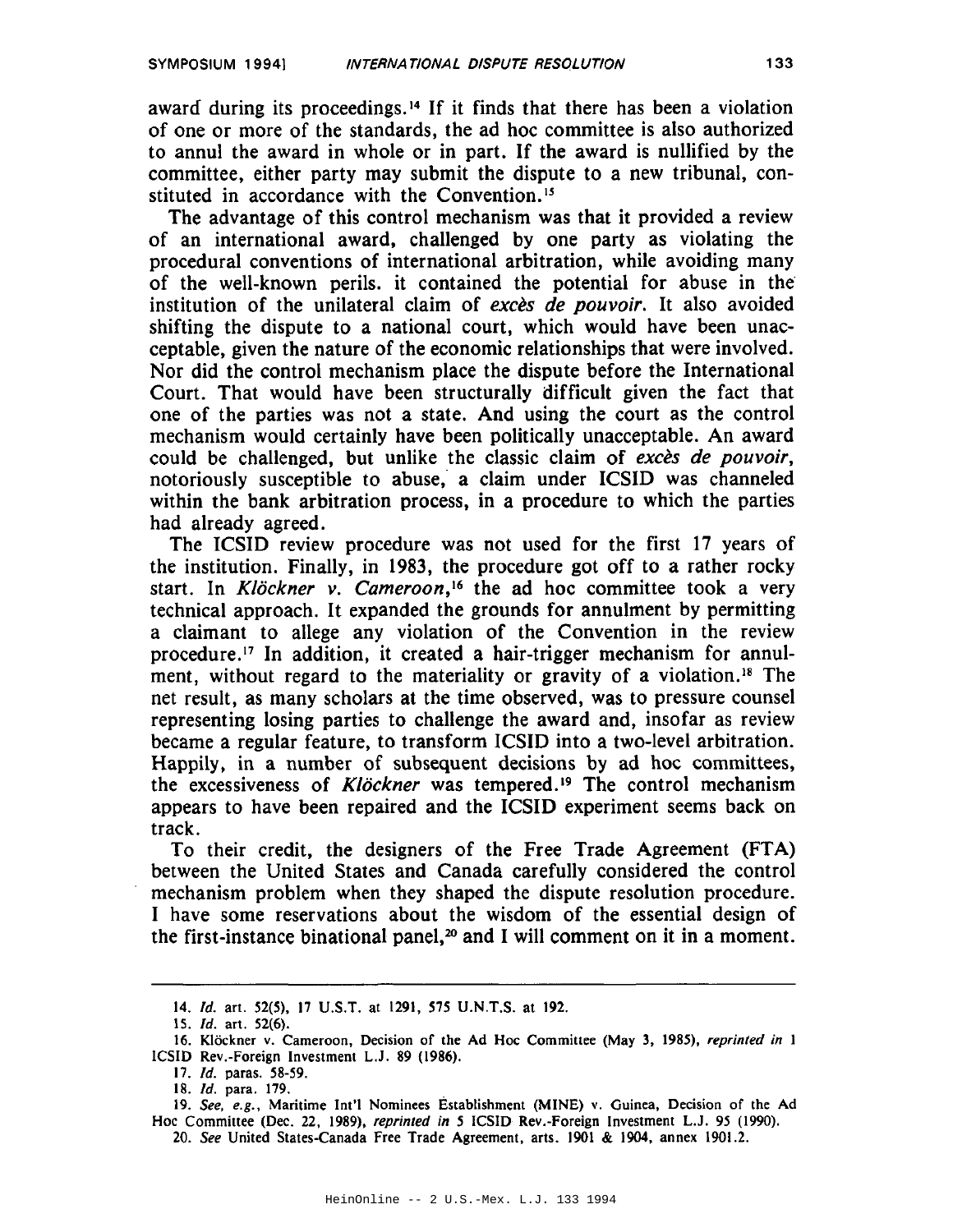award during its proceedings.<sup>14</sup> If it finds that there has been a violation of one or more of the standards, the ad hoc committee is also authorized to annul the award in whole or in part. If the award is nullified by the committee, either party may submit the dispute to a new tribunal, constituted in accordance with the Convention.<sup>15</sup>

The advantage of this control mechanism was that it provided a review of an international award, challenged by one party as violating the procedural conventions of international arbitration, while avoiding many of the well-known perils. it contained the potential for abuse in the institution of the unilateral claim of exces de pouvoir. It also avoided shifting the dispute to a national court, which would have been unacceptable, given the nature of the economic relationships that were involved. Nor did the control mechanism place the dispute before the International Court. That would have been structurally difficult given the fact that one of the parties was not a state. And using the court as the control mechanism would certainly have been politically unacceptable. An award could be challenged, but unlike the classic claim of exces de pouvoir, notoriously susceptible to abuse, a claim under ICSID was channeled within the bank arbitration process, in a procedure to which the parties had already agreed.

The ICSID review procedure was not used for the first 17 years of the institution. Finally, in 1983, the procedure got off to a rather rocky start. In Klöckner v. Cameroon,<sup>16</sup> the ad hoc committee took a very technical approach. It expanded the grounds for annulment by permitting a claimant to allege any violation of the Convention in the review procedure.<sup>17</sup> In addition, it created a hair-trigger mechanism for annulment, without regard to the materiality or gravity of a violation.<sup>18</sup> The net result, as many scholars at the time observed, was to pressure counsel representing losing parties to challenge the award and, insofar as review became a regular feature, to transform ICSID into a two-level arbitration. Happily, in a number of subsequent decisions by ad hoc committees, the excessiveness of Klöckner was tempered.<sup>19</sup> The control mechanism appears to have been repaired and the ICSID experiment seems back on track.

To their credit, the designers of the Free Trade Agreement (FTA) between the United States and Canada carefully considered the control mechanism problem when they shaped the dispute resolution procedure. I have some reservations about the wisdom of the essential design of the first-instance binational panel,<sup>20</sup> and I will comment on it in a moment.

<sup>14.</sup> Id. art. 52(5), 17 U.S.T. at 1291, 575 U.N.T.S. at 192.

<sup>15.</sup> *Id.* art. 52(6).

<sup>16.</sup> Klöckner v. Cameroon, Decision of the Ad Hoc Committee (May 3, 1985), reprinted in 1 ICSID Rev.-Foreign Investment L.J. 89 (1986).

<sup>17.</sup> *Id.* paras. 58-59.

<sup>18.</sup> Id. para. 179.

<sup>19.</sup> See, e.g., Maritime Int'l Nominees Establishment (MINE) v. Guinea, Decision of the Ad Hoc Committee (Dec. 22, 1989), reprinted in 5 ICSID Rev.-Foreign Investment L.J. 95 (1990).

<sup>20.</sup> See United States-Canada Free Trade Agreement, arts. 1901 & 1904, annex 1901.2.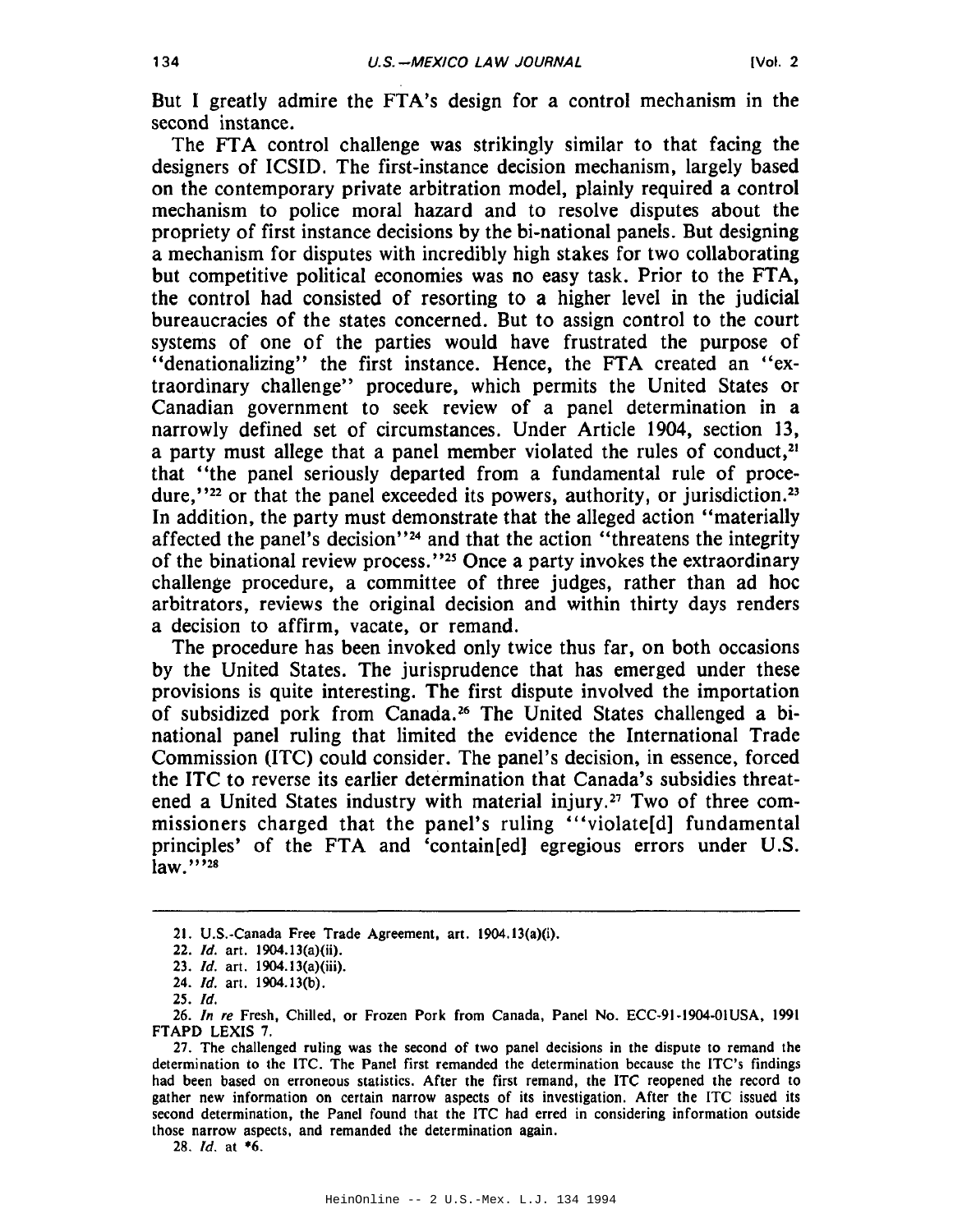But I greatly admire the FTA's design for a control mechanism in the second instance.

The FTA control challenge was strikingly similar to that facing the designers of ICSID. The first-instance decision mechanism, largely based on the contemporary private arbitration model, plainly required a control mechanism to police moral hazard and to resolve disputes about the propriety of first instance decisions by the bi-national panels. But designing a mechanism for disputes with incredibly high stakes for two collaborating but competitive political economies was no easy task. Prior to the FTA, the control had consisted of resorting to a higher level in the judicial bureaucracies of the states concerned. But to assign control to the court systems of one of the parties would have frustrated the purpose of "denationalizing" the first instance. Hence, the FTA created an "extraordinary challenge" procedure, which permits the United States or Canadian government to seek review of a panel determination in a narrowly defined set of circumstances. Under Article 1904, section 13, a party must allege that a panel member violated the rules of conduct,<sup>21</sup> that "the panel seriously departed from a fundamental rule of procedure,"<sup>22</sup> or that the panel exceeded its powers, authority, or jurisdiction.<sup>23</sup> In addition, the party must demonstrate that the alleged action "materially affected the panel's decision"<sup>24</sup> and that the action "threatens the integrity of the binational review process."<sup>25</sup> Once a party invokes the extraordinary challenge procedure, a committee of three judges, rather than ad hoc arbitrators, reviews the original decision and within thirty days renders a decision to affirm, vacate, or remand.

The procedure has been invoked only twice thus far, on both occasions by the United States. The jurisprudence that has emerged under these provisions is quite interesting. The first dispute involved the importation of subsidized pork from Canada.<sup>26</sup> The United States challenged a binational panel ruling that limited the evidence the International Trade Commission (ITC) could consider. The panel's decision, in essence, forced the ITC to reverse its earlier determination that Canada's subsidies threatened a United States industry with material injury.<sup>27</sup> Two of three commissioners charged that the panel's ruling "violateld fundamental principles' of the FTA and 'contain[ed] egregious errors under U.S. law.""28

28. Id. at \*6.

<sup>21.</sup> U.S.-Canada Free Trade Agreement, art. 1904.13(a)(i).

<sup>22.</sup> *Id.* art. 1904.13(a)(ii).

<sup>23.</sup> Id. art. 1904.13(a)(iii).

<sup>24.</sup> Id. art. 1904.13(b).

 $25.$   $Id.$ 

<sup>26.</sup> In re Fresh, Chilled, or Frozen Pork from Canada, Panel No. ECC-91-1904-01USA, 1991 FTAPD LEXIS 7.

<sup>27.</sup> The challenged ruling was the second of two panel decisions in the dispute to remand the determination to the ITC. The Panel first remanded the determination because the ITC's findings had been based on erroneous statistics. After the first remand, the ITC reopened the record to gather new information on certain narrow aspects of its investigation. After the ITC issued its second determination, the Panel found that the ITC had erred in considering information outside those narrow aspects, and remanded the determination again.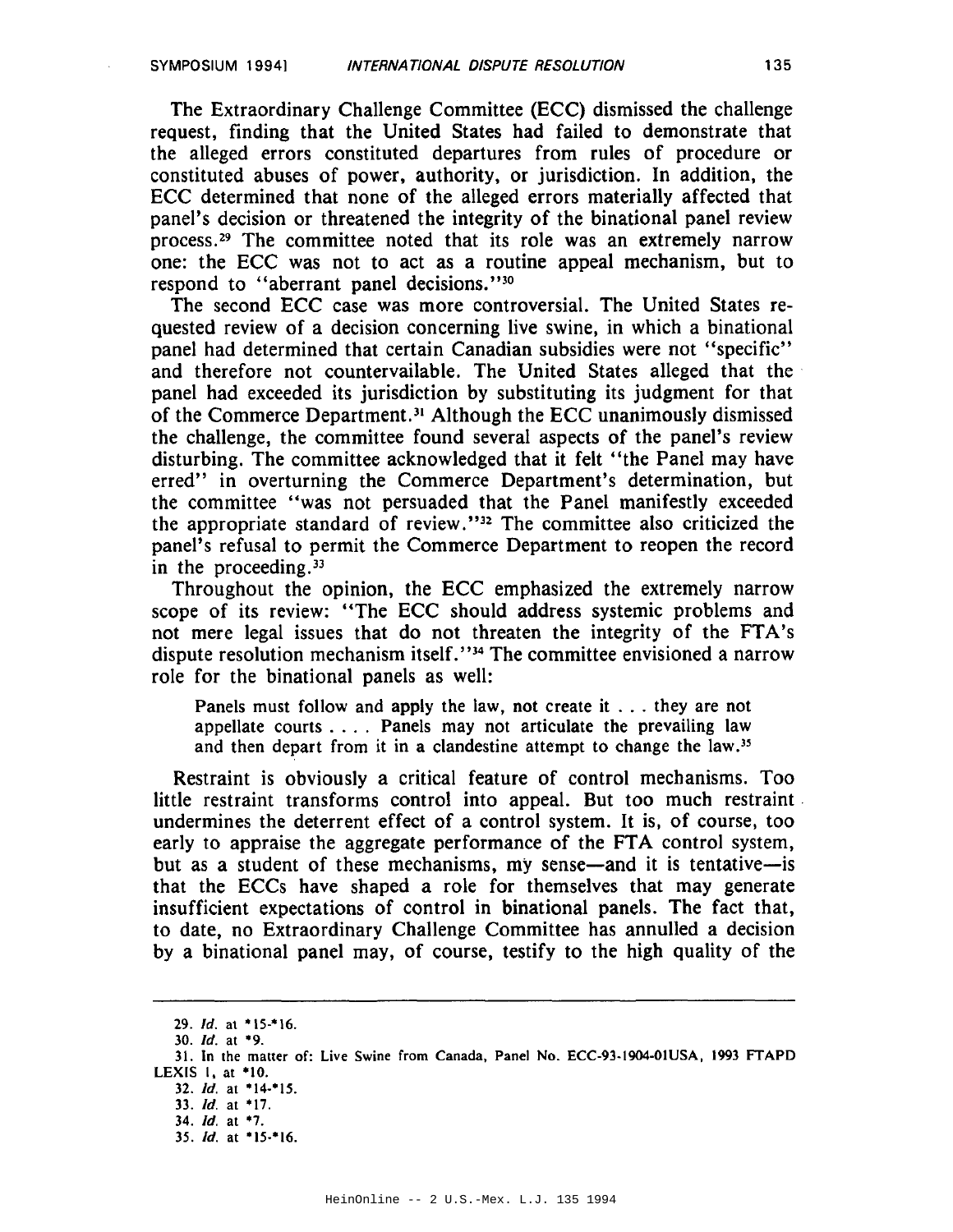The Extraordinary Challenge Committee (ECC) dismissed the challenge request, finding that the United States had failed to demonstrate that the alleged errors constituted departures from rules of procedure or constituted abuses of power, authority, or jurisdiction. In addition, the ECC determined that none of the alleged errors materially affected that panel's decision or threatened the integrity of the binational panel review process.<sup>29</sup> The committee noted that its role was an extremely narrow one: the ECC was not to act as a routine appeal mechanism, but to respond to "aberrant panel decisions."30

The second ECC case was more controversial. The United States requested review of a decision concerning live swine, in which a binational panel had determined that certain Canadian subsidies were not "specific" and therefore not countervailable. The United States alleged that the panel had exceeded its jurisdiction by substituting its judgment for that of the Commerce Department.<sup>31</sup> Although the ECC unanimously dismissed the challenge, the committee found several aspects of the panel's review disturbing. The committee acknowledged that it felt "the Panel may have erred" in overturning the Commerce Department's determination, but the committee "was not persuaded that the Panel manifestly exceeded the appropriate standard of review."<sup>32</sup> The committee also criticized the panel's refusal to permit the Commerce Department to reopen the record in the proceeding.  $33$ 

Throughout the opinion, the ECC emphasized the extremely narrow scope of its review: "The ECC should address systemic problems and not mere legal issues that do not threaten the integrity of the FTA's dispute resolution mechanism itself."<sup>34</sup> The committee envisioned a narrow role for the binational panels as well:

Panels must follow and apply the law, not create it . . . they are not appellate courts  $\dots$ . Panels may not articulate the prevailing law and then depart from it in a clandestine attempt to change the law.<sup>35</sup>

Restraint is obviously a critical feature of control mechanisms. Too little restraint transforms control into appeal. But too much restraint undermines the deterrent effect of a control system. It is, of course, too early to appraise the aggregate performance of the FTA control system, but as a student of these mechanisms, my sense—and it is tentative—is that the ECCs have shaped a role for themselves that may generate insufficient expectations of control in binational panels. The fact that, to date, no Extraordinary Challenge Committee has annulled a decision by a binational panel may, of course, testify to the high quality of the

<sup>29.</sup> Id. at \*15-\*16.

<sup>30.</sup> Id. at \*9.

<sup>31.</sup> In the matter of: Live Swine from Canada, Panel No. ECC-93-1904-01USA, 1993 FTAPD LEXIS 1, at  $*10$ .

<sup>32.</sup> Id. at \*14-\*15.

<sup>33.</sup> Id. at \*17.

<sup>34.</sup> Id. at \*7.

<sup>35.</sup> Id. at \*15-\*16.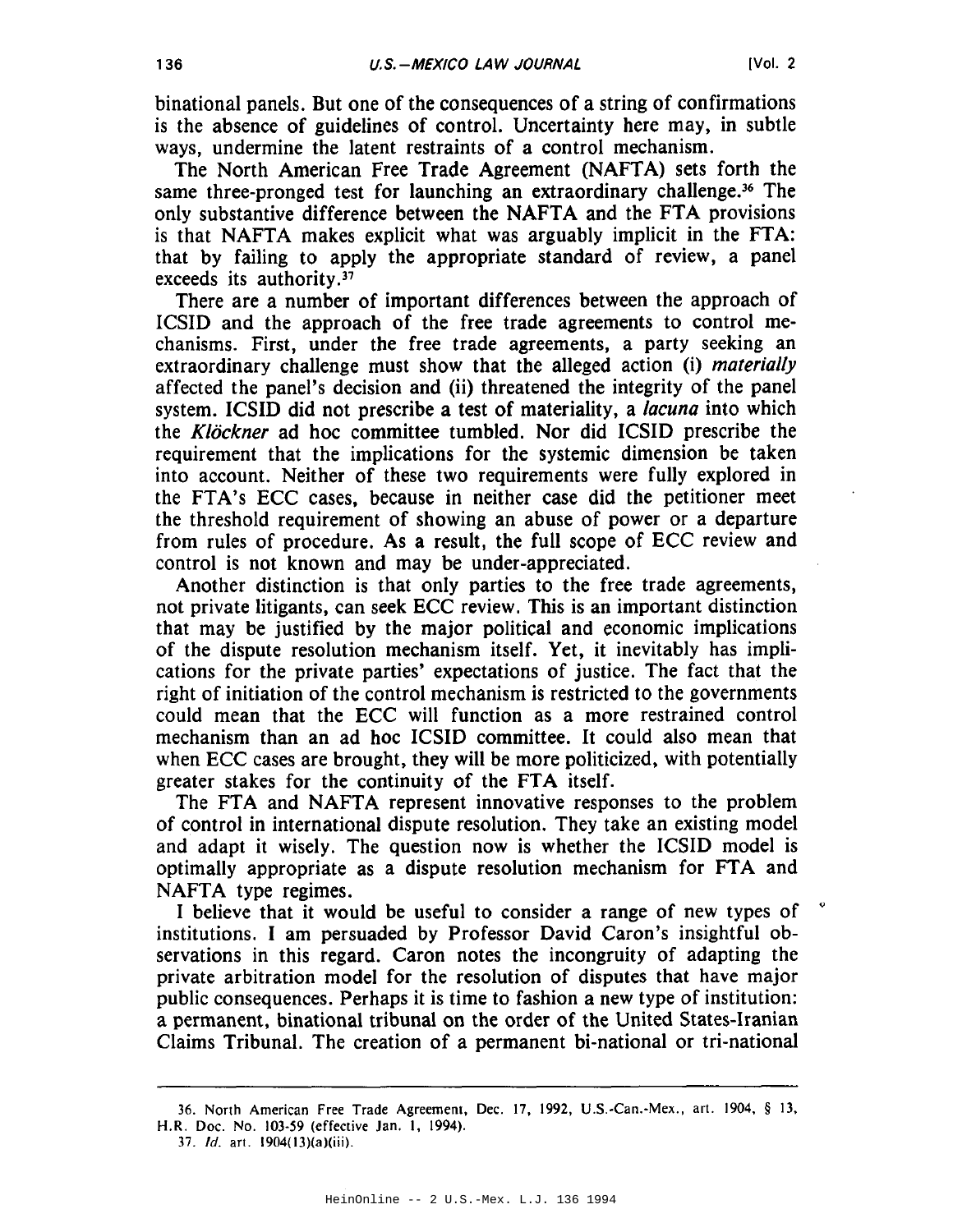binational panels. But one of the consequences of a string of confirmations is the absence of guidelines of control. Uncertainty here may, in subtle ways, undermine the latent restraints of a control mechanism.

The North American Free Trade Agreement (NAFTA) sets forth the same three-pronged test for launching an extraordinary challenge.<sup>36</sup> The only substantive difference between the NAFTA and the FTA provisions is that NAFTA makes explicit what was arguably implicit in the FTA: that by failing to apply the appropriate standard of review, a panel exceeds its authority.<sup>37</sup>

There are a number of important differences between the approach of ICSID and the approach of the free trade agreements to control mechanisms. First, under the free trade agreements, a party seeking an extraordinary challenge must show that the alleged action (i) materially affected the panel's decision and (ii) threatened the integrity of the panel system. ICSID did not prescribe a test of materiality, a lacuna into which the Klöckner ad hoc committee tumbled. Nor did ICSID prescribe the requirement that the implications for the systemic dimension be taken into account. Neither of these two requirements were fully explored in the FTA's ECC cases, because in neither case did the petitioner meet the threshold requirement of showing an abuse of power or a departure from rules of procedure. As a result, the full scope of ECC review and control is not known and may be under-appreciated.

Another distinction is that only parties to the free trade agreements, not private litigants, can seek ECC review. This is an important distinction that may be justified by the major political and economic implications of the dispute resolution mechanism itself. Yet, it inevitably has implications for the private parties' expectations of justice. The fact that the right of initiation of the control mechanism is restricted to the governments could mean that the ECC will function as a more restrained control mechanism than an ad hoc ICSID committee. It could also mean that when ECC cases are brought, they will be more politicized, with potentially greater stakes for the continuity of the FTA itself.

The FTA and NAFTA represent innovative responses to the problem of control in international dispute resolution. They take an existing model and adapt it wisely. The question now is whether the ICSID model is optimally appropriate as a dispute resolution mechanism for FTA and NAFTA type regimes.

I believe that it would be useful to consider a range of new types of institutions. I am persuaded by Professor David Caron's insightful observations in this regard. Caron notes the incongruity of adapting the private arbitration model for the resolution of disputes that have major public consequences. Perhaps it is time to fashion a new type of institution: a permanent, binational tribunal on the order of the United States-Iranian Claims Tribunal. The creation of a permanent bi-national or tri-national

<sup>36.</sup> North American Free Trade Agreement, Dec. 17, 1992, U.S.-Can.-Mex., art. 1904, § 13, H.R. Doc. No. 103-59 (effective Jan. 1, 1994).

<sup>37.</sup> *Id.* art.  $1904(13)(a)(iii)$ .